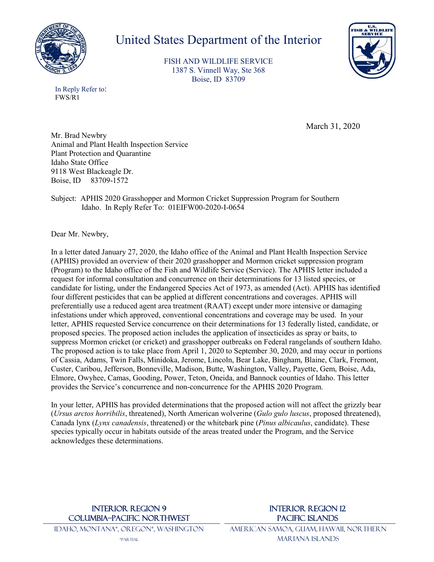

# United States Department of the Interior

FISH AND WILDLIFE SERVICE 1387 S. Vinnell Way, Ste 368 Boise, ID 83709



In Reply Refer to: FWS/R1

March 31, 2020

Mr. Brad Newbry Animal and Plant Health Inspection Service Plant Protection and Quarantine Idaho State Office 9118 West Blackeagle Dr. Boise, ID 83709-1572

Subject: APHIS 2020 Grasshopper and Mormon Cricket Suppression Program for Southern Idaho. In Reply Refer To: 01EIFW00-2020-I-0654

Dear Mr. Newbry,

In a letter dated January 27, 2020, the Idaho office of the Animal and Plant Health Inspection Service (APHIS) provided an overview of their 2020 grasshopper and Mormon cricket suppression program (Program) to the Idaho office of the Fish and Wildlife Service (Service). The APHIS letter included a request for informal consultation and concurrence on their determinations for 13 listed species, or candidate for listing, under the Endangered Species Act of 1973, as amended (Act). APHIS has identified four different pesticides that can be applied at different concentrations and coverages. APHIS will preferentially use a reduced agent area treatment (RAAT) except under more intensive or damaging infestations under which approved, conventional concentrations and coverage may be used. In your letter, APHIS requested Service concurrence on their determinations for 13 federally listed, candidate, or proposed species. The proposed action includes the application of insecticides as spray or baits, to suppress Mormon cricket (or cricket) and grasshopper outbreaks on Federal rangelands of southern Idaho. The proposed action is to take place from April 1, 2020 to September 30, 2020, and may occur in portions of Cassia, Adams, Twin Falls, Minidoka, Jerome, Lincoln, Bear Lake, Bingham, Blaine, Clark, Fremont, Custer, Caribou, Jefferson, Bonneville, Madison, Butte, Washington, Valley, Payette, Gem, Boise, Ada, Elmore, Owyhee, Camas, Gooding, Power, Teton, Oneida, and Bannock counties of Idaho. This letter provides the Service's concurrence and non-concurrence for the APHIS 2020 Program.

In your letter, APHIS has provided determinations that the proposed action will not affect the grizzly bear (*Ursus arctos horribilis*, threatened), North American wolverine (*Gulo gulo luscus*, proposed threatened), Canada lynx (*Lynx canadensis*, threatened) or the whitebark pine (*Pinus albicaulus*, candidate). These species typically occur in habitats outside of the areas treated under the Program, and the Service acknowledges these determinations.

## INTERIOR REGION 9 COLUMBIA–PACIFIC NORTHWEST

IDAHO, MONTANA\*, OREGON\*, WASHINGTON \*PARTIAL

American Samoa, Guam, Hawaii, Northern Mariana Islands

INTERIOR REGION 12 Pacific Islands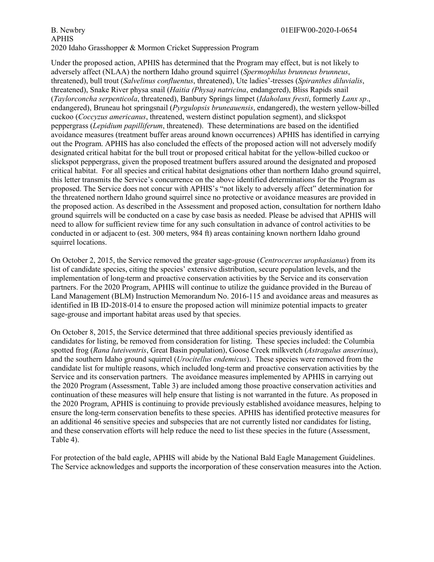Under the proposed action, APHIS has determined that the Program may effect, but is not likely to adversely affect (NLAA) the northern Idaho ground squirrel (*Spermophilus brunneus brunneus*, threatened), bull trout (*Salvelinus confluentus*, threatened), Ute ladies'-tresses (*Spiranthes diluvialis*, threatened), Snake River physa snail (*Haitia (Physa) natricina*, endangered), Bliss Rapids snail (*Taylorconcha serpenticola*, threatened), Banbury Springs limpet (*Idaholanx fresti*, formerly *Lanx sp*., endangered), Bruneau hot springsnail (*Pyrgulopsis bruneauensis*, endangered), the western yellow-billed cuckoo (*Coccyzus americanus*, threatened, western distinct population segment), and slickspot peppergrass (*Lepidium papilliferum*, threatened). These determinations are based on the identified avoidance measures (treatment buffer areas around known occurrences) APHIS has identified in carrying out the Program. APHIS has also concluded the effects of the proposed action will not adversely modify designated critical habitat for the bull trout or proposed critical habitat for the yellow-billed cuckoo or slickspot peppergrass, given the proposed treatment buffers assured around the designated and proposed critical habitat. For all species and critical habitat designations other than northern Idaho ground squirrel, this letter transmits the Service's concurrence on the above identified determinations for the Program as proposed. The Service does not concur with APHIS's "not likely to adversely affect" determination for the threatened northern Idaho ground squirrel since no protective or avoidance measures are provided in the proposed action. As described in the Assessment and proposed action, consultation for northern Idaho ground squirrels will be conducted on a case by case basis as needed. Please be advised that APHIS will need to allow for sufficient review time for any such consultation in advance of control activities to be conducted in or adjacent to (est. 300 meters, 984 ft) areas containing known northern Idaho ground squirrel locations.

On October 2, 2015, the Service removed the greater sage-grouse (*Centrocercus urophasianus*) from its list of candidate species, citing the species' extensive distribution, secure population levels, and the implementation of long-term and proactive conservation activities by the Service and its conservation partners. For the 2020 Program, APHIS will continue to utilize the guidance provided in the Bureau of Land Management (BLM) Instruction Memorandum No. 2016-115 and avoidance areas and measures as identified in IB ID-2018-014 to ensure the proposed action will minimize potential impacts to greater sage-grouse and important habitat areas used by that species.

On October 8, 2015, the Service determined that three additional species previously identified as candidates for listing, be removed from consideration for listing. These species included: the Columbia spotted frog (*Rana luteiventris*, Great Basin population), Goose Creek milkvetch (*Astragalus anserinus*), and the southern Idaho ground squirrel (*Urocitellus endemicus*). These species were removed from the candidate list for multiple reasons, which included long-term and proactive conservation activities by the Service and its conservation partners. The avoidance measures implemented by APHIS in carrying out the 2020 Program (Assessment, Table 3) are included among those proactive conservation activities and continuation of these measures will help ensure that listing is not warranted in the future. As proposed in the 2020 Program, APHIS is continuing to provide previously established avoidance measures, helping to ensure the long-term conservation benefits to these species. APHIS has identified protective measures for an additional 46 sensitive species and subspecies that are not currently listed nor candidates for listing, and these conservation efforts will help reduce the need to list these species in the future (Assessment, Table 4).

For protection of the bald eagle, APHIS will abide by the National Bald Eagle Management Guidelines. The Service acknowledges and supports the incorporation of these conservation measures into the Action.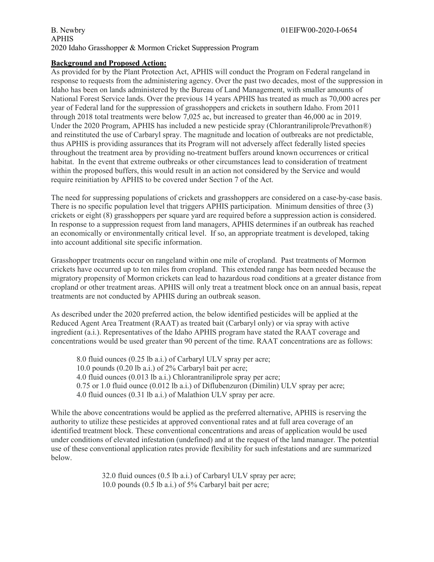#### B. Newbry 01EIFW00-2020-I-0654 APHIS 2020 Idaho Grasshopper & Mormon Cricket Suppression Program

### **Background and Proposed Action:**

As provided for by the Plant Protection Act, APHIS will conduct the Program on Federal rangeland in response to requests from the administering agency. Over the past two decades, most of the suppression in Idaho has been on lands administered by the Bureau of Land Management, with smaller amounts of National Forest Service lands. Over the previous 14 years APHIS has treated as much as 70,000 acres per year of Federal land for the suppression of grasshoppers and crickets in southern Idaho. From 2011 through 2018 total treatments were below 7,025 ac, but increased to greater than 46,000 ac in 2019. Under the 2020 Program, APHIS has included a new pesticide spray (Chlorantraniliprole/Prevathon®) and reinstituted the use of Carbaryl spray. The magnitude and location of outbreaks are not predictable, thus APHIS is providing assurances that its Program will not adversely affect federally listed species throughout the treatment area by providing no-treatment buffers around known occurrences or critical habitat. In the event that extreme outbreaks or other circumstances lead to consideration of treatment within the proposed buffers, this would result in an action not considered by the Service and would require reinitiation by APHIS to be covered under Section 7 of the Act.

The need for suppressing populations of crickets and grasshoppers are considered on a case-by-case basis. There is no specific population level that triggers APHIS participation. Minimum densities of three (3) crickets or eight (8) grasshoppers per square yard are required before a suppression action is considered. In response to a suppression request from land managers, APHIS determines if an outbreak has reached an economically or environmentally critical level. If so, an appropriate treatment is developed, taking into account additional site specific information.

Grasshopper treatments occur on rangeland within one mile of cropland. Past treatments of Mormon crickets have occurred up to ten miles from cropland. This extended range has been needed because the migratory propensity of Mormon crickets can lead to hazardous road conditions at a greater distance from cropland or other treatment areas. APHIS will only treat a treatment block once on an annual basis, repeat treatments are not conducted by APHIS during an outbreak season.

As described under the 2020 preferred action, the below identified pesticides will be applied at the Reduced Agent Area Treatment (RAAT) as treated bait (Carbaryl only) or via spray with active ingredient (a.i.). Representatives of the Idaho APHIS program have stated the RAAT coverage and concentrations would be used greater than 90 percent of the time. RAAT concentrations are as follows:

8.0 fluid ounces (0.25 lb a.i.) of Carbaryl ULV spray per acre; 10.0 pounds (0.20 lb a.i.) of 2% Carbaryl bait per acre; 4.0 fluid ounces (0.013 lb a.i.) Chlorantraniliprole spray per acre; 0.75 or 1.0 fluid ounce (0.012 lb a.i.) of Diflubenzuron (Dimilin) ULV spray per acre; 4.0 fluid ounces (0.31 lb a.i.) of Malathion ULV spray per acre.

While the above concentrations would be applied as the preferred alternative, APHIS is reserving the authority to utilize these pesticides at approved conventional rates and at full area coverage of an identified treatment block. These conventional concentrations and areas of application would be used under conditions of elevated infestation (undefined) and at the request of the land manager. The potential use of these conventional application rates provide flexibility for such infestations and are summarized below.

> 32.0 fluid ounces (0.5 lb a.i.) of Carbaryl ULV spray per acre; 10.0 pounds (0.5 lb a.i.) of 5% Carbaryl bait per acre;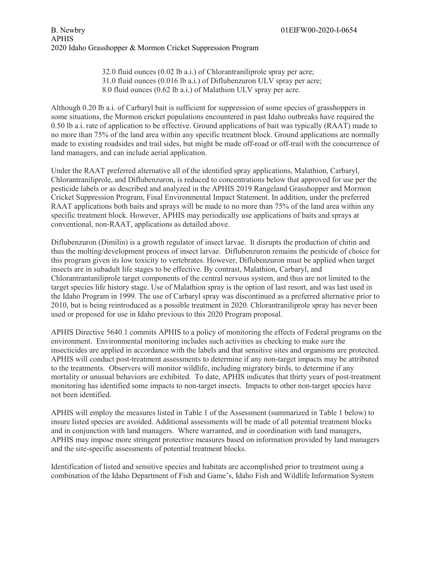32.0 fluid ounces (0.02 lb a.i.) of Chlorantraniliprole spray per acre; 31.0 fluid ounces (0.016 lb a.i.) of Diflubenzuron ULV spray per acre; 8.0 fluid ounces (0.62 lb a.i.) of Malathion ULV spray per acre.

Although 0.20 lb a.i. of Carbaryl bait is sufficient for suppression of some species of grasshoppers in some situations, the Mormon cricket populations encountered in past Idaho outbreaks have required the 0.50 lb a.i. rate of application to be effective. Ground applications of bait was typically (RAAT) made to no more than 75% of the land area within any specific treatment block. Ground applications are normally made to existing roadsides and trail sides, but might be made off-road or off-trail with the concurrence of land managers, and can include aerial application.

Under the RAAT preferred alternative all of the identified spray applications, Malathion, Carbaryl, Chlorantraniliprole, and Diflubenzuron, is reduced to concentrations below that approved for use per the pesticide labels or as described and analyzed in the APHIS 2019 Rangeland Grasshopper and Mormon Cricket Suppression Program, Final Environmental Impact Statement. In addition, under the preferred RAAT applications both baits and sprays will be made to no more than 75% of the land area within any specific treatment block. However, APHIS may periodically use applications of baits and sprays at conventional, non-RAAT, applications as detailed above.

Diflubenzuron (Dimilin) is a growth regulator of insect larvae. It disrupts the production of chitin and thus the molting/development process of insect larvae. Diflubenzuron remains the pesticide of choice for this program given its low toxicity to vertebrates. However, Diflubenzuron must be applied when target insects are in subadult life stages to be effective. By contrast, Malathion, Carbaryl, and Chlorantrantaniliprole target components of the central nervous system, and thus are not limited to the target species life history stage. Use of Malathion spray is the option of last resort, and was last used in the Idaho Program in 1999. The use of Carbaryl spray was discontinued as a preferred alternative prior to 2010, but is being reintroduced as a possible treatment in 2020. Chlorantraniliprole spray has never been used or proposed for use in Idaho previous to this 2020 Program proposal.

APHIS Directive 5640.1 commits APHIS to a policy of monitoring the effects of Federal programs on the environment. Environmental monitoring includes such activities as checking to make sure the insecticides are applied in accordance with the labels and that sensitive sites and organisms are protected. APHIS will conduct post-treatment assessments to determine if any non-target impacts may be attributed to the treatments. Observers will monitor wildlife, including migratory birds, to determine if any mortality or unusual behaviors are exhibited. To date, APHIS indicates that thirty years of post-treatment monitoring has identified some impacts to non-target insects. Impacts to other non-target species have not been identified.

APHIS will employ the measures listed in Table 1 of the Assessment (summarized in Table 1 below) to insure listed species are avoided. Additional assessments will be made of all potential treatment blocks and in conjunction with land managers. Where warranted, and in coordination with land managers, APHIS may impose more stringent protective measures based on information provided by land managers and the site-specific assessments of potential treatment blocks.

Identification of listed and sensitive species and habitats are accomplished prior to treatment using a combination of the Idaho Department of Fish and Game's, Idaho Fish and Wildlife Information System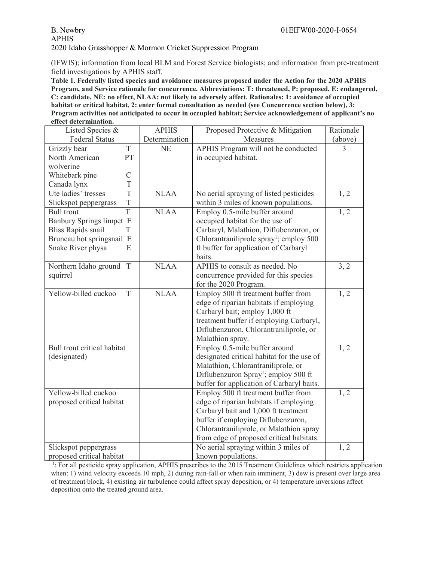(IFWIS); information from local BLM and Forest Service biologists; and information from pre-treatment field investigations by APHIS staff.

**Table 1. Federally listed species and avoidance measures proposed under the Action for the 2020 APHIS Program, and Service rationale for concurrence. Abbreviations: T: threatened, P: proposed, E: endangered, C: candidate, NE: no effect, NLAA: not likely to adversely affect. Rationales: 1: avoidance of occupied habitat or critical habitat, 2: enter formal consultation as needed (see Concurrence section below), 3: Program activities not anticipated to occur in occupied habitat; Service acknowledgement of applicant's no effect determination.**

| Listed Species &            |               | <b>APHIS</b>  | Proposed Protective & Mitigation                    | Rationale |
|-----------------------------|---------------|---------------|-----------------------------------------------------|-----------|
|                             |               |               |                                                     |           |
| <b>Federal Status</b>       |               | Determination | Measures                                            | (above)   |
| Grizzly bear                | T             | <b>NE</b>     | APHIS Program will not be conducted                 | 3         |
| North American              | PT            |               | in occupied habitat.                                |           |
| wolverine                   |               |               |                                                     |           |
| Whitebark pine              | $\mathcal{C}$ |               |                                                     |           |
| Canada lynx                 | T             |               |                                                     |           |
| Ute ladies' tresses         | T             | <b>NLAA</b>   | No aerial spraying of listed pesticides             | 1, 2      |
| Slickspot peppergrass       | $\mathbf T$   |               | within 3 miles of known populations.                |           |
| <b>Bull</b> trout           | T             | <b>NLAA</b>   | Employ 0.5-mile buffer around                       | 1, 2      |
| Banbury Springs limpet E    |               |               | occupied habitat for the use of                     |           |
| <b>Bliss Rapids snail</b>   | T             |               | Carbaryl, Malathion, Diflubenzuron, or              |           |
| Bruneau hot springsnail E   |               |               | Chlorantraniliprole spray <sup>1</sup> ; employ 500 |           |
| Snake River physa           | E             |               | ft buffer for application of Carbaryl               |           |
|                             |               |               | baits.                                              |           |
| Northern Idaho ground       | T             | <b>NLAA</b>   | APHIS to consult as needed. No                      | 3, 2      |
| squirrel                    |               |               | concurrence provided for this species               |           |
|                             |               |               | for the 2020 Program.                               |           |
| Yellow-billed cuckoo        | T             | <b>NLAA</b>   | Employ 500 ft treatment buffer from                 | 1, 2      |
|                             |               |               | edge of riparian habitats if employing              |           |
|                             |               |               | Carbaryl bait; employ 1,000 ft                      |           |
|                             |               |               | treatment buffer if employing Carbaryl,             |           |
|                             |               |               | Diflubenzuron, Chlorantraniliprole, or              |           |
|                             |               |               | Malathion spray.                                    |           |
| Bull trout critical habitat |               |               | Employ 0.5-mile buffer around                       | 1, 2      |
| (designated)                |               |               | designated critical habitat for the use of          |           |
|                             |               |               | Malathion, Chlorantraniliprole, or                  |           |
|                             |               |               | Diflubenzuron Spray <sup>1</sup> ; employ 500 ft    |           |
|                             |               |               | buffer for application of Carbaryl baits.           |           |
| Yellow-billed cuckoo        |               |               | Employ 500 ft treatment buffer from                 | 1, 2      |
| proposed critical habitat   |               |               | edge of riparian habitats if employing              |           |
|                             |               |               | Carbaryl bait and 1,000 ft treatment                |           |
|                             |               |               | buffer if employing Diflubenzuron,                  |           |
|                             |               |               | Chlorantraniliprole, or Malathion spray             |           |
|                             |               |               | from edge of proposed critical habitats.            |           |
|                             |               |               |                                                     |           |
| Slickspot peppergrass       |               |               | No aerial spraying within 3 miles of                | 1, 2      |
| proposed critical habitat   |               |               | known populations.                                  |           |

<sup>1</sup>: For all pesticide spray application, APHIS prescribes to the 2015 Treatment Guidelines which restricts application when: 1) wind velocity exceeds 10 mph, 2) during rain-fall or when rain imminent, 3) dew is present over large area of treatment block, 4) existing air turbulence could affect spray deposition, or 4) temperature inversions affect deposition onto the treated ground area.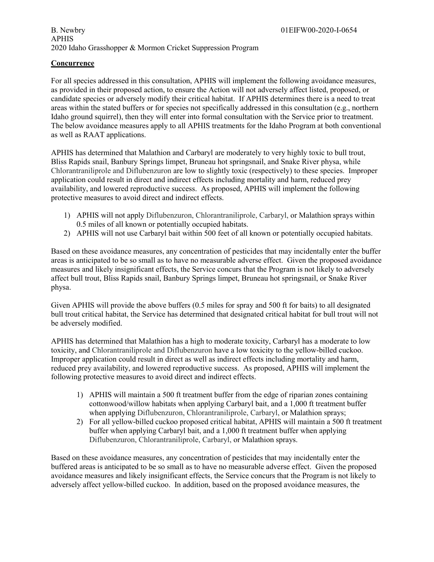## B. Newbry 01EIFW00-2020-I-0654 APHIS 2020 Idaho Grasshopper & Mormon Cricket Suppression Program

## **Concurrence**

For all species addressed in this consultation, APHIS will implement the following avoidance measures, as provided in their proposed action, to ensure the Action will not adversely affect listed, proposed, or candidate species or adversely modify their critical habitat. If APHIS determines there is a need to treat areas within the stated buffers or for species not specifically addressed in this consultation (e.g., northern Idaho ground squirrel), then they will enter into formal consultation with the Service prior to treatment. The below avoidance measures apply to all APHIS treatments for the Idaho Program at both conventional as well as RAAT applications.

APHIS has determined that Malathion and Carbaryl are moderately to very highly toxic to bull trout, Bliss Rapids snail, Banbury Springs limpet, Bruneau hot springsnail, and Snake River physa, while Chlorantraniliprole and Diflubenzuron are low to slightly toxic (respectively) to these species. Improper application could result in direct and indirect effects including mortality and harm, reduced prey availability, and lowered reproductive success. As proposed, APHIS will implement the following protective measures to avoid direct and indirect effects.

- 1) APHIS will not apply Diflubenzuron, Chlorantraniliprole, Carbaryl, or Malathion sprays within 0.5 miles of all known or potentially occupied habitats.
- 2) APHIS will not use Carbaryl bait within 500 feet of all known or potentially occupied habitats.

Based on these avoidance measures, any concentration of pesticides that may incidentally enter the buffer areas is anticipated to be so small as to have no measurable adverse effect. Given the proposed avoidance measures and likely insignificant effects, the Service concurs that the Program is not likely to adversely affect bull trout, Bliss Rapids snail, Banbury Springs limpet, Bruneau hot springsnail, or Snake River physa.

Given APHIS will provide the above buffers (0.5 miles for spray and 500 ft for baits) to all designated bull trout critical habitat, the Service has determined that designated critical habitat for bull trout will not be adversely modified.

APHIS has determined that Malathion has a high to moderate toxicity, Carbaryl has a moderate to low toxicity, and Chlorantraniliprole and Diflubenzuron have a low toxicity to the yellow-billed cuckoo. Improper application could result in direct as well as indirect effects including mortality and harm, reduced prey availability, and lowered reproductive success. As proposed, APHIS will implement the following protective measures to avoid direct and indirect effects.

- 1) APHIS will maintain a 500 ft treatment buffer from the edge of riparian zones containing cottonwood/willow habitats when applying Carbaryl bait, and a 1,000 ft treatment buffer when applying Diflubenzuron, Chlorantraniliprole, Carbaryl, or Malathion sprays;
- 2) For all yellow-billed cuckoo proposed critical habitat, APHIS will maintain a 500 ft treatment buffer when applying Carbaryl bait, and a 1,000 ft treatment buffer when applying Diflubenzuron, Chlorantraniliprole, Carbaryl, or Malathion sprays.

Based on these avoidance measures, any concentration of pesticides that may incidentally enter the buffered areas is anticipated to be so small as to have no measurable adverse effect. Given the proposed avoidance measures and likely insignificant effects, the Service concurs that the Program is not likely to adversely affect yellow-billed cuckoo. In addition, based on the proposed avoidance measures, the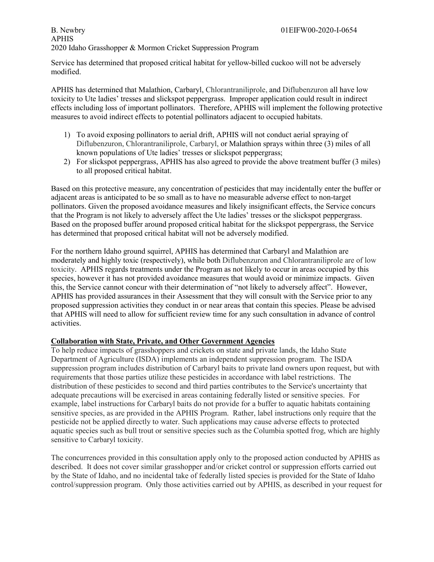Service has determined that proposed critical habitat for yellow-billed cuckoo will not be adversely modified.

APHIS has determined that Malathion, Carbaryl, Chlorantraniliprole, and Diflubenzuron all have low toxicity to Ute ladies' tresses and slickspot peppergrass. Improper application could result in indirect effects including loss of important pollinators. Therefore, APHIS will implement the following protective measures to avoid indirect effects to potential pollinators adjacent to occupied habitats.

- 1) To avoid exposing pollinators to aerial drift, APHIS will not conduct aerial spraying of Diflubenzuron, Chlorantraniliprole, Carbaryl, or Malathion sprays within three (3) miles of all known populations of Ute ladies' tresses or slickspot peppergrass;
- 2) For slickspot peppergrass, APHIS has also agreed to provide the above treatment buffer (3 miles) to all proposed critical habitat.

Based on this protective measure, any concentration of pesticides that may incidentally enter the buffer or adjacent areas is anticipated to be so small as to have no measurable adverse effect to non-target pollinators. Given the proposed avoidance measures and likely insignificant effects, the Service concurs that the Program is not likely to adversely affect the Ute ladies' tresses or the slickspot peppergrass. Based on the proposed buffer around proposed critical habitat for the slickspot peppergrass, the Service has determined that proposed critical habitat will not be adversely modified.

For the northern Idaho ground squirrel, APHIS has determined that Carbaryl and Malathion are moderately and highly toxic (respectively), while both Diflubenzuron and Chlorantraniliprole are of low toxicity. APHIS regards treatments under the Program as not likely to occur in areas occupied by this species, however it has not provided avoidance measures that would avoid or minimize impacts. Given this, the Service cannot concur with their determination of "not likely to adversely affect". However, APHIS has provided assurances in their Assessment that they will consult with the Service prior to any proposed suppression activities they conduct in or near areas that contain this species. Please be advised that APHIS will need to allow for sufficient review time for any such consultation in advance of control activities.

## **Collaboration with State, Private, and Other Government Agencies**

To help reduce impacts of grasshoppers and crickets on state and private lands, the Idaho State Department of Agriculture (ISDA) implements an independent suppression program. The ISDA suppression program includes distribution of Carbaryl baits to private land owners upon request, but with requirements that those parties utilize these pesticides in accordance with label restrictions. The distribution of these pesticides to second and third parties contributes to the Service's uncertainty that adequate precautions will be exercised in areas containing federally listed or sensitive species. For example, label instructions for Carbaryl baits do not provide for a buffer to aquatic habitats containing sensitive species, as are provided in the APHIS Program. Rather, label instructions only require that the pesticide not be applied directly to water. Such applications may cause adverse effects to protected aquatic species such as bull trout or sensitive species such as the Columbia spotted frog, which are highly sensitive to Carbaryl toxicity.

The concurrences provided in this consultation apply only to the proposed action conducted by APHIS as described. It does not cover similar grasshopper and/or cricket control or suppression efforts carried out by the State of Idaho, and no incidental take of federally listed species is provided for the State of Idaho control/suppression program. Only those activities carried out by APHIS, as described in your request for